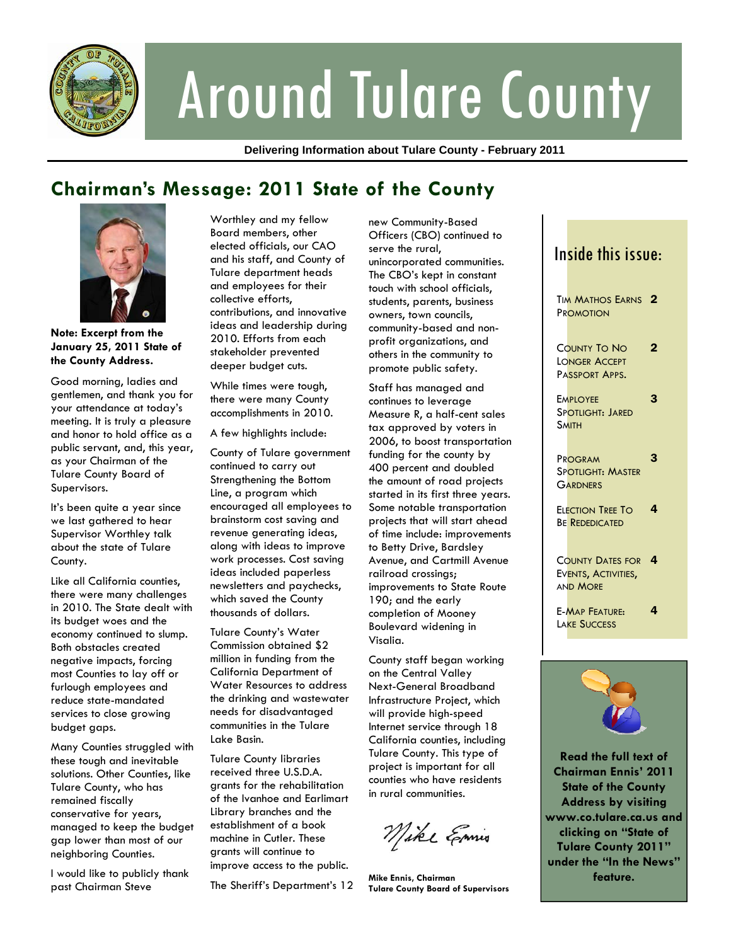

# Around Tulare County

**Delivering Information about Tulare County - February 2011** 

## **Chairman's Message: 2011 State of the County**



**Note: Excerpt from the January 25, 2011 State of the County Address.** 

Good morning, ladies and gentlemen, and thank you for your attendance at today's meeting. It is truly a pleasure and honor to hold office as a public servant, and, this year, as your Chairman of the Tulare County Board of Supervisors.

It's been quite a year since we last gathered to hear Supervisor Worthley talk about the state of Tulare County.

Like all California counties, there were many challenges in 2010. The State dealt with its budget woes and the economy continued to slump. Both obstacles created negative impacts, forcing most Counties to lay off or furlough employees and reduce state-mandated services to close growing budget gaps.

Many Counties struggled with these tough and inevitable solutions. Other Counties, like Tulare County, who has remained fiscally conservative for years, managed to keep the budget gap lower than most of our neighboring Counties.

I would like to publicly thank past Chairman Steve

Worthley and my fellow Board members, other elected officials, our CAO and his staff, and County of Tulare department heads and employees for their collective efforts, contributions, and innovative ideas and leadership during 2010. Efforts from each stakeholder prevented deeper budget cuts.

While times were tough, there were many County accomplishments in 2010.

A few highlights include:

County of Tulare government continued to carry out Strengthening the Bottom Line, a program which encouraged all employees to brainstorm cost saving and revenue generating ideas, along with ideas to improve work processes. Cost saving ideas included paperless newsletters and paychecks, which saved the County thousands of dollars.

Tulare County's Water Commission obtained \$2 million in funding from the California Department of Water Resources to address the drinking and wastewater needs for disadvantaged communities in the Tulare Lake Basin.

Tulare County libraries received three U.S.D.A. grants for the rehabilitation of the Ivanhoe and Earlimart Library branches and the establishment of a book machine in Cutler. These grants will continue to improve access to the public.

The Sheriff's Department's 12

new Community-Based Officers (CBO) continued to serve the rural, unincorporated communities. The CBO's kept in constant touch with school officials, students, parents, business owners, town councils, community-based and nonprofit organizations, and others in the community to promote public safety.

Staff has managed and continues to leverage Measure R, a half-cent sales tax approved by voters in 2006, to boost transportation funding for the county by 400 percent and doubled the amount of road projects started in its first three years. Some notable transportation projects that will start ahead of time include: improvements to Betty Drive, Bardsley Avenue, and Cartmill Avenue railroad crossings; improvements to State Route 190; and the early completion of Mooney Boulevard widening in Visalia.

County staff began working on the Central Valley Next-General Broadband Infrastructure Project, which will provide high-speed Internet service through 18 California counties, including Tulare County. This type of project is important for all counties who have residents in rural communities.

Mike Emis

**Mike Ennis, Chairman Tulare County Board of Supervisors** 

|  | In <mark>side this issue:</mark>                                  |   |
|--|-------------------------------------------------------------------|---|
|  | <b>TIM MATHOS EARNS</b><br>PROMOTION                              | 2 |
|  | COUNTY TO NO<br>LONGER ACCEPT<br>PASSPORT APPS.                   | 2 |
|  | <b>EMPLOYEE</b><br>SPOTLIGHT: JARED<br><b>SMITH</b>               | 3 |
|  | PROGRAM<br>Spotlight: Master<br><b>GARDNERS</b>                   | 3 |
|  | ELECTION TREE TO<br><b>BE REDEDICATED</b>                         | 4 |
|  | <b>COUNTY DATES FOR</b><br>EVENTS, ACTIVITIES,<br><b>AND MORE</b> | 4 |
|  | <b>E-MAP FEATURE:</b><br><b>LAKE SUCCESS</b>                      | 4 |
|  |                                                                   |   |
|  |                                                                   |   |



**Read the full text of Chairman Ennis' 2011 State of the County Address by visiting www.co.tulare.ca.us and clicking on "State of Tulare County 2011" under the "In the News" feature.**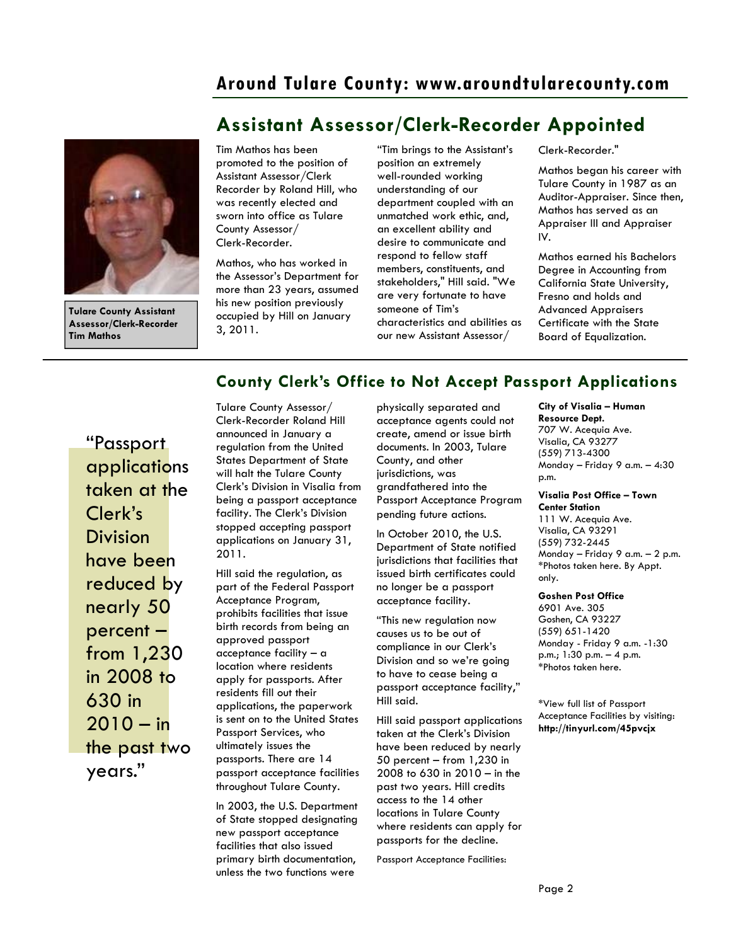## **Around Tulare County: www.aroundtularecounty.com**

**Assistant Assessor/Clerk-Recorder Appointed** 



**Tulare County Assistant Assessor/Clerk-Recorder Tim Mathos** 

#### Tim Mathos has been promoted to the position of Assistant Assessor/Clerk Recorder by Roland Hill, who was recently elected and sworn into office as Tulare County Assessor/ Clerk-Recorder.

Mathos, who has worked in the Assessor's Department for more than 23 years, assumed his new position previously occupied by Hill on January 3, 2011.

"Tim brings to the Assistant's position an extremely well-rounded working understanding of our department coupled with an unmatched work ethic, and, an excellent ability and desire to communicate and respond to fellow staff members, constituents, and stakeholders," Hill said. "We are very fortunate to have someone of Tim's characteristics and abilities as our new Assistant Assessor/

Clerk-Recorder."

Mathos began his career with Tulare County in 1987 as an Auditor-Appraiser. Since then, Mathos has served as an Appraiser III and Appraiser IV.

Mathos earned his Bachelors Degree in Accounting from California State University, Fresno and holds and Advanced Appraisers Certificate with the State Board of Equalization.

## **County Clerk's Office to Not Accept Passport Applications**

"Passport applications taken at the Clerk's Division have been reduced by nearly 50 percent – from 1,230 in 2008 to 630 in  $2010 - in$ the past two years."

Tulare County Assessor/ Clerk-Recorder Roland Hill announced in January a regulation from the United States Department of State will halt the Tulare County Clerk's Division in Visalia from being a passport acceptance facility. The Clerk's Division stopped accepting passport applications on January 31, 2011.

Hill said the regulation, as part of the Federal Passport Acceptance Program, prohibits facilities that issue birth records from being an approved passport acceptance facility – a location where residents apply for passports. After residents fill out their applications, the paperwork is sent on to the United States Passport Services, who ultimately issues the passports. There are 14 passport acceptance facilities throughout Tulare County.

In 2003, the U.S. Department of State stopped designating new passport acceptance facilities that also issued primary birth documentation, unless the two functions were

physically separated and acceptance agents could not create, amend or issue birth documents. In 2003, Tulare County, and other jurisdictions, was grandfathered into the Passport Acceptance Program pending future actions.

In October 2010, the U.S. Department of State notified jurisdictions that facilities that issued birth certificates could no longer be a passport acceptance facility.

"This new regulation now causes us to be out of compliance in our Clerk's Division and so we're going to have to cease being a passport acceptance facility," Hill said.

Hill said passport applications taken at the Clerk's Division have been reduced by nearly 50 percent – from 1,230 in 2008 to 630 in 2010 – in the past two years. Hill credits access to the 14 other locations in Tulare County where residents can apply for passports for the decline.

Passport Acceptance Facilities:

**City of Visalia – Human Resource Dept.**  707 W. Acequia Ave. Visalia, CA 93277 (559) 713-4300 Monday – Friday 9 a.m. – 4:30

p.m.

**Visalia Post Office – Town Center Station**  111 W. Acequia Ave.

Visalia, CA 93291 (559) 732-2445 Monday – Friday 9 a.m. – 2 p.m. \*Photos taken here. By Appt. only.

#### **Goshen Post Office**

6901 Ave. 305 Goshen, CA 93227 (559) 651-1420 Monday - Friday 9 a.m. -1:30 p.m.; 1:30 p.m. – 4 p.m. \*Photos taken here.

\*View full list of Passport Acceptance Facilities by visiting: **http://tinyurl.com/45pvcjx**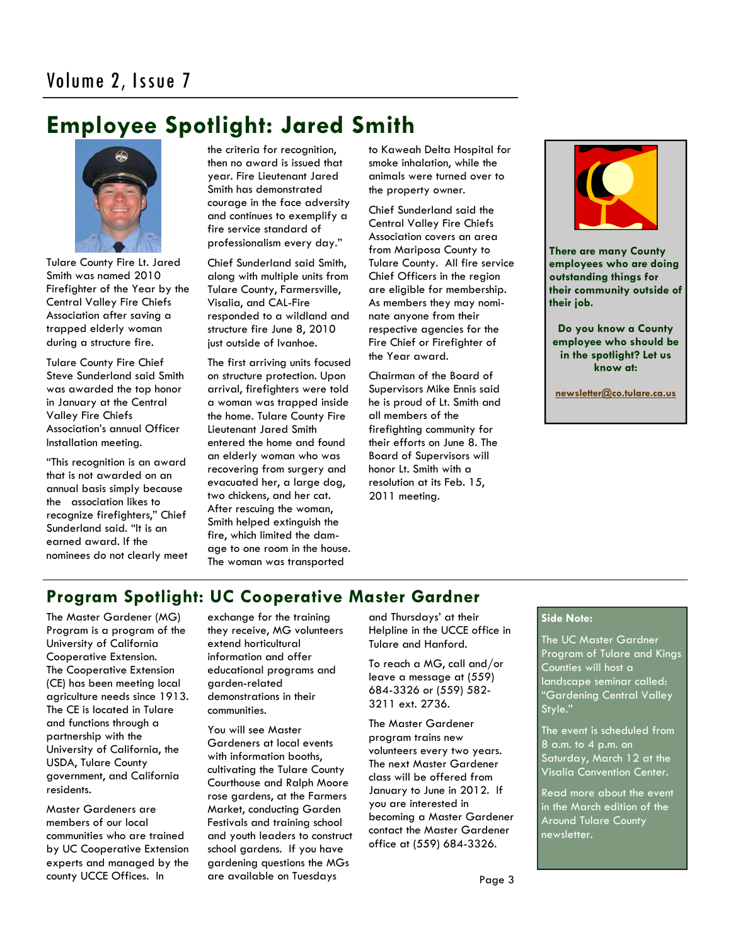## **Employee Spotlight: Jared Smith**



Tulare County Fire Lt. Jared Smith was named 2010 Firefighter of the Year by the Central Valley Fire Chiefs Association after saving a trapped elderly woman during a structure fire.

Tulare County Fire Chief Steve Sunderland said Smith was awarded the top honor in January at the Central Valley Fire Chiefs Association's annual Officer Installation meeting.

"This recognition is an award that is not awarded on an annual basis simply because the association likes to recognize firefighters," Chief Sunderland said. "It is an earned award. If the nominees do not clearly meet the criteria for recognition, then no award is issued that year. Fire Lieutenant Jared Smith has demonstrated courage in the face adversity and continues to exemplify a fire service standard of professionalism every day."

Chief Sunderland said Smith, along with multiple units from Tulare County, Farmersville, Visalia, and CAL-Fire responded to a wildland and structure fire June 8, 2010 just outside of Ivanhoe.

The first arriving units focused on structure protection. Upon arrival, firefighters were told a woman was trapped inside the home. Tulare County Fire Lieutenant Jared Smith entered the home and found an elderly woman who was recovering from surgery and evacuated her, a large dog, two chickens, and her cat. After rescuing the woman, Smith helped extinguish the fire, which limited the damage to one room in the house. The woman was transported

to Kaweah Delta Hospital for smoke inhalation, while the animals were turned over to the property owner.

Chief Sunderland said the Central Valley Fire Chiefs Association covers an area from Mariposa County to Tulare County. All fire service Chief Officers in the region are eligible for membership. As members they may nominate anyone from their respective agencies for the Fire Chief or Firefighter of the Year award.

Chairman of the Board of Supervisors Mike Ennis said he is proud of Lt. Smith and all members of the firefighting community for their efforts on June 8. The Board of Supervisors will honor Lt. Smith with a resolution at its Feb. 15, 2011 meeting.



**There are many County employees who are doing outstanding things for their community outside of their job.** 

**Do you know a County employee who should be in the spotlight? Let us know at:** 

**newsletter@co.tulare.ca.us**

## **Program Spotlight: UC Cooperative Master Gardner**

The Master Gardener (MG) Program is a program of the University of California Cooperative Extension. The Cooperative Extension (CE) has been meeting local agriculture needs since 1913. The CE is located in Tulare and functions through a partnership with the University of California, the USDA, Tulare County government, and California residents.

Master Gardeners are members of our local communities who are trained by UC Cooperative Extension experts and managed by the county UCCE Offices. In

exchange for the training they receive, MG volunteers extend horticultural information and offer educational programs and garden-related demonstrations in their communities.

You will see Master Gardeners at local events with information booths, cultivating the Tulare County Courthouse and Ralph Moore rose gardens, at the Farmers Market, conducting Garden Festivals and training school and youth leaders to construct school gardens. If you have gardening questions the MGs are available on Tuesdays

and Thursdays' at their Helpline in the UCCE office in Tulare and Hanford.

To reach a MG, call and/or leave a message at (559) 684-3326 or (559) 582- 3211 ext. 2736.

The Master Gardener program trains new volunteers every two years. The next Master Gardener class will be offered from January to June in 2012. If you are interested in becoming a Master Gardener contact the Master Gardener office at (559) 684-3326.

## **Side Note:**

The UC Master Gardner Program of Tulare and Kings Counties will host a landscape seminar called: "Gardening Central Valley Style."

The event is scheduled from 8 a.m. to 4 p.m. on Saturday, March 12 at the Visalia Convention Center.

Read more about the event in the March edition of the Around Tulare County newsletter.